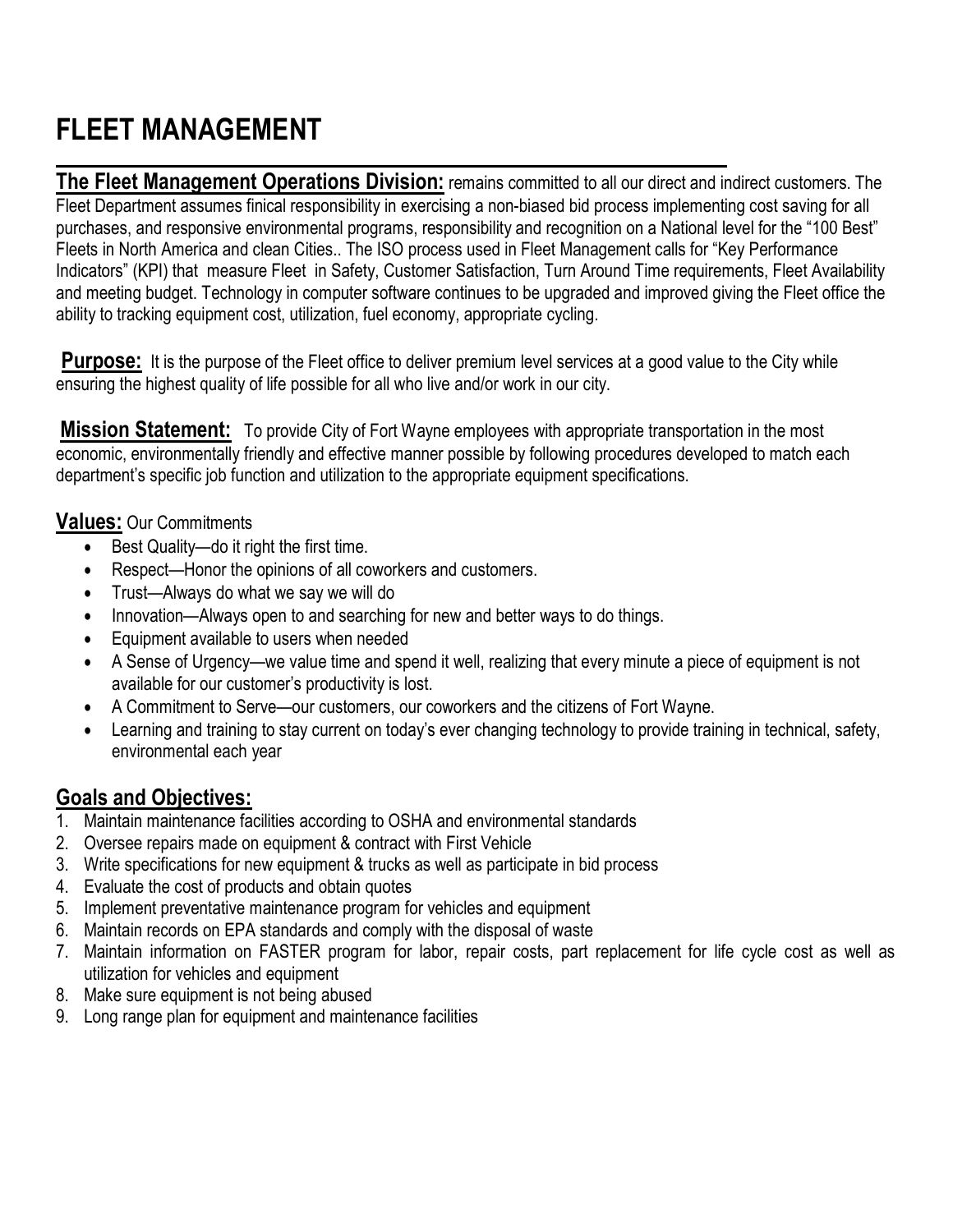## **FLEET MANAGEMENT**

L

**The Fleet Management Operations Division:** remains committed to all our direct and indirect customers. The Fleet Department assumes finical responsibility in exercising a non-biased bid process implementing cost saving for all purchases, and responsive environmental programs, responsibility and recognition on a National level for the "100 Best" Fleets in North America and clean Cities.. The ISO process used in Fleet Management calls for "Key Performance Indicators" (KPI) that measure Fleet in Safety, Customer Satisfaction, Turn Around Time requirements, Fleet Availability and meeting budget. Technology in computer software continues to be upgraded and improved giving the Fleet office the ability to tracking equipment cost, utilization, fuel economy, appropriate cycling.

 **Purpose:** It is the purpose of the Fleet office to deliver premium level services at a good value to the City while ensuring the highest quality of life possible for all who live and/or work in our city.

**Mission Statement:** To provide City of Fort Wayne employees with appropriate transportation in the most economic, environmentally friendly and effective manner possible by following procedures developed to match each department's specific job function and utilization to the appropriate equipment specifications.

## **Values:** Our Commitments

- Best Quality—do it right the first time.
- Respect—Honor the opinions of all coworkers and customers.
- Trust—Always do what we say we will do
- Innovation—Always open to and searching for new and better ways to do things.
- Equipment available to users when needed
- A Sense of Urgency—we value time and spend it well, realizing that every minute a piece of equipment is not available for our customer's productivity is lost.
- A Commitment to Serve—our customers, our coworkers and the citizens of Fort Wayne.
- Learning and training to stay current on today's ever changing technology to provide training in technical, safety, environmental each year

## **Goals and Objectives:**

- 1. Maintain maintenance facilities according to OSHA and environmental standards
- 2. Oversee repairs made on equipment & contract with First Vehicle
- 3. Write specifications for new equipment & trucks as well as participate in bid process
- 4. Evaluate the cost of products and obtain quotes
- 5. Implement preventative maintenance program for vehicles and equipment
- 6. Maintain records on EPA standards and comply with the disposal of waste
- 7. Maintain information on FASTER program for labor, repair costs, part replacement for life cycle cost as well as utilization for vehicles and equipment
- 8. Make sure equipment is not being abused
- 9. Long range plan for equipment and maintenance facilities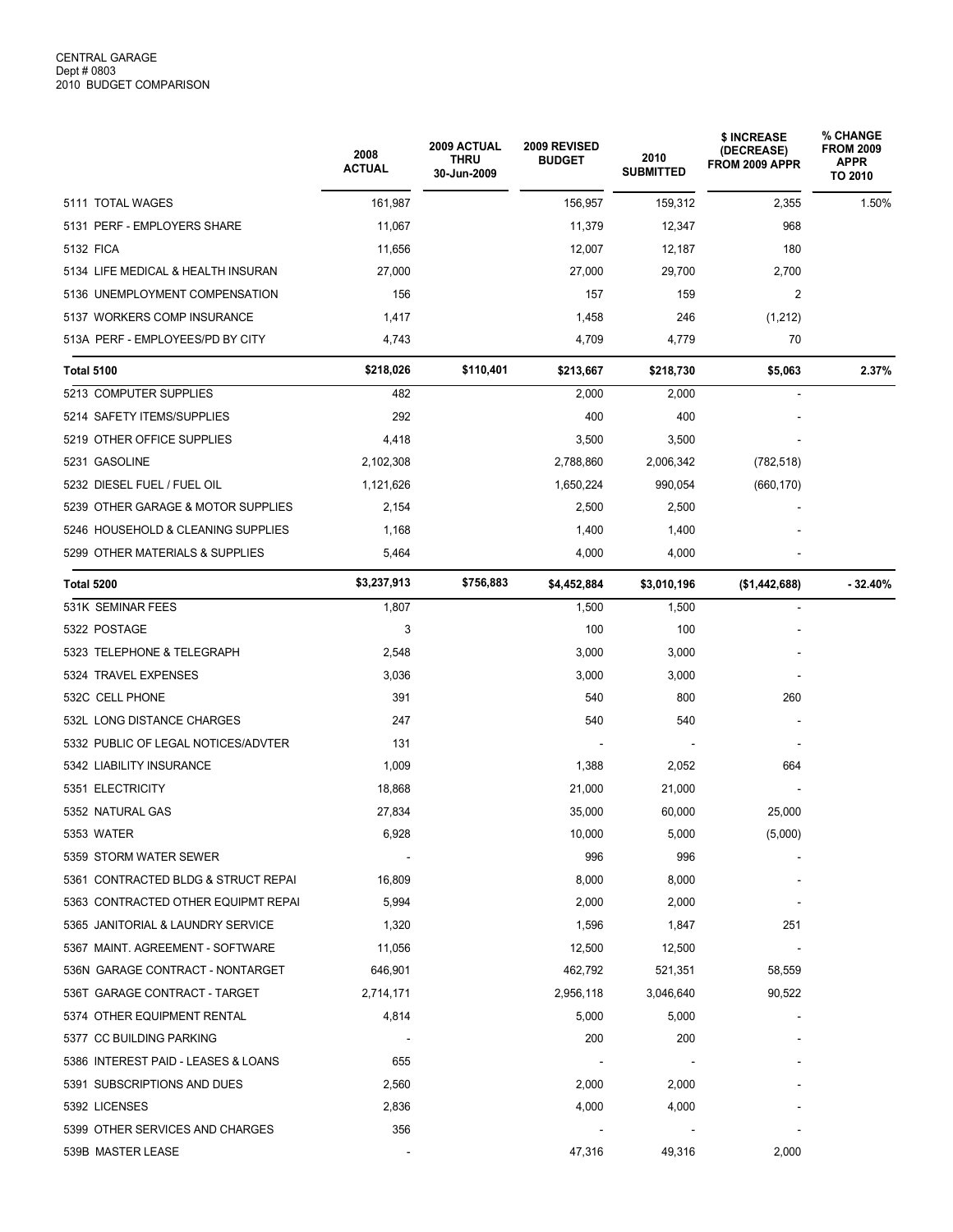|                                     | 2008<br><b>ACTUAL</b> | 2009 ACTUAL<br><b>THRU</b><br>30-Jun-2009 | 2009 REVISED<br><b>BUDGET</b> | 2010<br><b>SUBMITTED</b> | \$ INCREASE<br>(DECREASE)<br>FROM 2009 APPR | % CHANGE<br><b>FROM 2009</b><br><b>APPR</b><br>TO 2010 |
|-------------------------------------|-----------------------|-------------------------------------------|-------------------------------|--------------------------|---------------------------------------------|--------------------------------------------------------|
| 5111 TOTAL WAGES                    | 161,987               |                                           | 156,957                       | 159,312                  | 2,355                                       | 1.50%                                                  |
| 5131 PERF - EMPLOYERS SHARE         | 11,067                |                                           | 11,379                        | 12,347                   | 968                                         |                                                        |
| 5132 FICA                           | 11,656                |                                           | 12,007                        | 12,187                   | 180                                         |                                                        |
| 5134 LIFE MEDICAL & HEALTH INSURAN  | 27,000                |                                           | 27,000                        | 29,700                   | 2,700                                       |                                                        |
| 5136 UNEMPLOYMENT COMPENSATION      | 156                   |                                           | 157                           | 159                      | 2                                           |                                                        |
| 5137 WORKERS COMP INSURANCE         | 1,417                 |                                           | 1,458                         | 246                      | (1,212)                                     |                                                        |
| 513A PERF - EMPLOYEES/PD BY CITY    | 4,743                 |                                           | 4,709                         | 4,779                    | 70                                          |                                                        |
| <b>Total 5100</b>                   | \$218,026             | \$110,401                                 | \$213,667                     | \$218,730                | \$5,063                                     | 2.37%                                                  |
| 5213 COMPUTER SUPPLIES              | 482                   |                                           | 2,000                         | 2,000                    |                                             |                                                        |
| 5214 SAFETY ITEMS/SUPPLIES          | 292                   |                                           | 400                           | 400                      |                                             |                                                        |
| 5219 OTHER OFFICE SUPPLIES          | 4,418                 |                                           | 3,500                         | 3,500                    |                                             |                                                        |
| 5231 GASOLINE                       | 2,102,308             |                                           | 2,788,860                     | 2,006,342                | (782, 518)                                  |                                                        |
| 5232 DIESEL FUEL / FUEL OIL         | 1,121,626             |                                           | 1,650,224                     | 990,054                  | (660, 170)                                  |                                                        |
| 5239 OTHER GARAGE & MOTOR SUPPLIES  | 2,154                 |                                           | 2,500                         | 2,500                    |                                             |                                                        |
| 5246 HOUSEHOLD & CLEANING SUPPLIES  | 1,168                 |                                           | 1,400                         | 1,400                    |                                             |                                                        |
| 5299 OTHER MATERIALS & SUPPLIES     | 5,464                 |                                           | 4,000                         | 4,000                    |                                             |                                                        |
| Total 5200                          | \$3,237,913           | \$756,883                                 | \$4,452,884                   | \$3,010,196              | (\$1,442,688)                               | $-32.40%$                                              |
| 531K SEMINAR FEES                   | 1,807                 |                                           | 1,500                         | 1,500                    |                                             |                                                        |
| 5322 POSTAGE                        | 3                     |                                           | 100                           | 100                      |                                             |                                                        |
| 5323 TELEPHONE & TELEGRAPH          | 2,548                 |                                           | 3,000                         | 3,000                    |                                             |                                                        |
| 5324 TRAVEL EXPENSES                | 3,036                 |                                           | 3,000                         | 3,000                    |                                             |                                                        |
| 532C CELL PHONE                     | 391                   |                                           | 540                           | 800                      | 260                                         |                                                        |
| 532L LONG DISTANCE CHARGES          | 247                   |                                           | 540                           | 540                      |                                             |                                                        |
| 5332 PUBLIC OF LEGAL NOTICES/ADVTER | 131                   |                                           |                               |                          |                                             |                                                        |
| 5342 LIABILITY INSURANCE            | 1,009                 |                                           | 1,388                         | 2,052                    | 664                                         |                                                        |
| 5351 ELECTRICITY                    | 18,868                |                                           | 21,000                        | 21,000                   |                                             |                                                        |
| 5352 NATURAL GAS                    | 27,834                |                                           | 35,000                        | 60,000                   | 25,000                                      |                                                        |
| 5353 WATER                          | 6,928                 |                                           | 10,000                        | 5,000                    | (5,000)                                     |                                                        |
| 5359 STORM WATER SEWER              |                       |                                           | 996                           | 996                      |                                             |                                                        |
| 5361 CONTRACTED BLDG & STRUCT REPAI | 16,809                |                                           | 8,000                         | 8,000                    |                                             |                                                        |
| 5363 CONTRACTED OTHER EQUIPMT REPAI | 5,994                 |                                           | 2,000                         | 2,000                    |                                             |                                                        |
| 5365 JANITORIAL & LAUNDRY SERVICE   | 1,320                 |                                           | 1,596                         | 1,847                    | 251                                         |                                                        |
| 5367 MAINT. AGREEMENT - SOFTWARE    | 11,056                |                                           | 12,500                        | 12,500                   |                                             |                                                        |
| 536N GARAGE CONTRACT - NONTARGET    | 646,901               |                                           | 462,792                       | 521,351                  | 58,559                                      |                                                        |
| 536T GARAGE CONTRACT - TARGET       | 2,714,171             |                                           | 2,956,118                     | 3,046,640                | 90,522                                      |                                                        |
| 5374 OTHER EQUIPMENT RENTAL         | 4,814                 |                                           | 5,000                         | 5,000                    |                                             |                                                        |
| 5377 CC BUILDING PARKING            |                       |                                           | 200                           | 200                      |                                             |                                                        |
| 5386 INTEREST PAID - LEASES & LOANS | 655                   |                                           |                               |                          |                                             |                                                        |
| 5391 SUBSCRIPTIONS AND DUES         | 2,560                 |                                           | 2,000                         | 2,000                    |                                             |                                                        |
| 5392 LICENSES                       | 2,836                 |                                           | 4,000                         | 4,000                    |                                             |                                                        |
| 5399 OTHER SERVICES AND CHARGES     | 356                   |                                           |                               |                          |                                             |                                                        |
| 539B MASTER LEASE                   |                       |                                           | 47,316                        | 49,316                   | 2,000                                       |                                                        |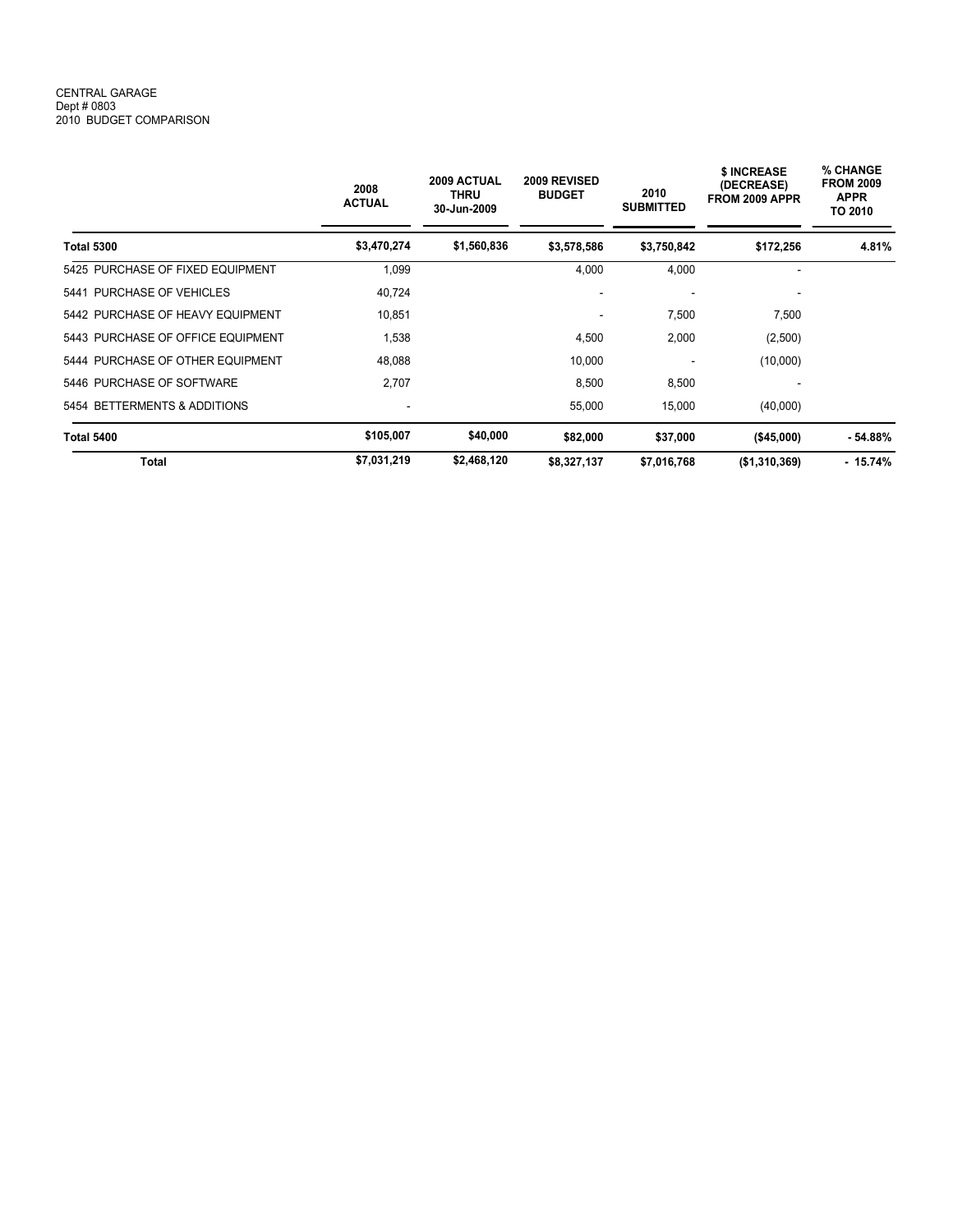## CENTRAL GARAGE Dept # 0803 2010 BUDGET COMPARISON

|                                            | 2008<br><b>ACTUAL</b> | 2009 ACTUAL<br><b>THRU</b><br>30-Jun-2009 | 2009 REVISED<br><b>BUDGET</b> | 2010<br><b>SUBMITTED</b> | \$ INCREASE<br>(DECREASE)<br>FROM 2009 APPR | % CHANGE<br><b>FROM 2009</b><br><b>APPR</b><br>TO 2010<br>4.81% |
|--------------------------------------------|-----------------------|-------------------------------------------|-------------------------------|--------------------------|---------------------------------------------|-----------------------------------------------------------------|
| <b>Total 5300</b>                          | \$3,470,274           | \$1,560,836                               | \$3,578,586                   | \$3,750,842              | \$172,256                                   |                                                                 |
| 5425 PURCHASE OF FIXED EQUIPMENT           | 1,099                 |                                           | 4,000                         | 4,000                    | ۰                                           |                                                                 |
| 5441 PURCHASE OF VEHICLES                  | 40,724                |                                           |                               |                          |                                             |                                                                 |
| 5442 PURCHASE OF HEAVY EQUIPMENT<br>10,851 |                       |                                           | $\overline{\phantom{a}}$      | 7,500                    | 7,500<br>(2,500)                            |                                                                 |
| 5443 PURCHASE OF OFFICE EQUIPMENT          | 1,538                 |                                           | 4,500                         | 2,000                    |                                             |                                                                 |
| 5444 PURCHASE OF OTHER EQUIPMENT           | 48.088                |                                           | 10,000                        | -                        | (10,000)                                    |                                                                 |
| 5446 PURCHASE OF SOFTWARE                  | 2,707                 |                                           | 8,500                         | 8,500                    |                                             |                                                                 |
| 5454 BETTERMENTS & ADDITIONS               |                       |                                           | 55,000                        | 15,000                   | (40,000)                                    |                                                                 |
| <b>Total 5400</b>                          | \$105,007             | \$40,000                                  | \$82,000                      | \$37,000                 | (\$45,000)                                  | $-54.88%$                                                       |
| <b>Total</b>                               | \$7,031,219           | \$2,468,120                               | \$8,327,137                   | \$7,016,768              | (\$1,310,369)                               | $-15.74%$                                                       |